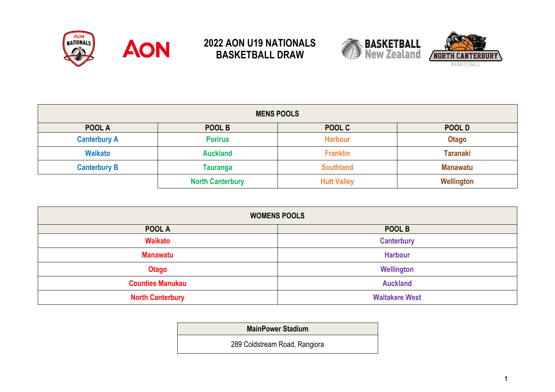







| <b>MENS POOLS</b>   |                         |                    |                 |  |
|---------------------|-------------------------|--------------------|-----------------|--|
| POOL A              | POOL B                  | POOL C             | POOL D          |  |
| <b>Canterbury A</b> | <b>Porirua</b>          | <b>Harbour</b>     | <b>Otago</b>    |  |
| <b>Waikato</b>      | <b>Auckland</b>         | <b>Franklin</b>    | <b>Taranaki</b> |  |
| <b>Canterbury B</b> | <b>Tauranga</b>         | <b>Southland</b>   | <b>Manawatu</b> |  |
|                     | <b>North Canterbury</b> | <b>Hutt Valley</b> | Wellington      |  |

| <b>WOMENS POOLS</b>                        |                       |  |  |
|--------------------------------------------|-----------------------|--|--|
| POOL A                                     | POOL B                |  |  |
| <b>Waikato</b>                             | <b>Canterbury</b>     |  |  |
| <b>Manawatu</b>                            | <b>Harbour</b>        |  |  |
| <b>Otago</b>                               | Wellington            |  |  |
| <b>Auckland</b><br><b>Counties Manukau</b> |                       |  |  |
| <b>North Canterbury</b>                    | <b>Waitakere West</b> |  |  |

**MainPower Stadium**

289 Coldstream Road, Rangiora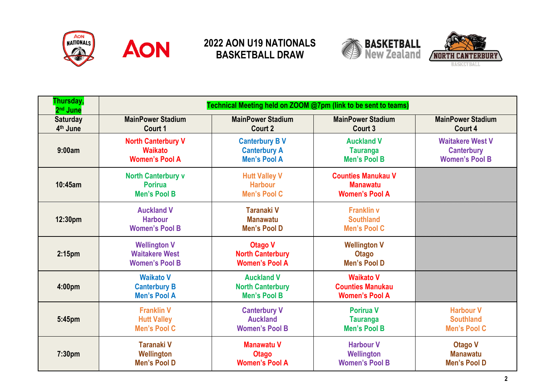







| Thursday,<br>2 <sup>nd</sup> June | Technical Meeting held on ZOOM @7pm (link to be sent to teams)        |                                                                     |                                                                       |                                                                       |
|-----------------------------------|-----------------------------------------------------------------------|---------------------------------------------------------------------|-----------------------------------------------------------------------|-----------------------------------------------------------------------|
| <b>Saturday</b><br>4th June       | <b>MainPower Stadium</b><br>Court 1                                   | <b>MainPower Stadium</b><br>Court 2                                 | <b>MainPower Stadium</b><br>Court 3                                   | <b>MainPower Stadium</b><br>Court 4                                   |
| 9:00am                            | <b>North Canterbury V</b><br><b>Waikato</b><br><b>Women's Pool A</b>  | <b>Canterbury BV</b><br><b>Canterbury A</b><br><b>Men's Pool A</b>  | <b>Auckland V</b><br><b>Tauranga</b><br><b>Men's Pool B</b>           | <b>Waitakere West V</b><br><b>Canterbury</b><br><b>Women's Pool B</b> |
| 10:45am                           | <b>North Canterbury v</b><br><b>Porirua</b><br><b>Men's Pool B</b>    | <b>Hutt Valley V</b><br><b>Harbour</b><br><b>Men's Pool C</b>       | <b>Counties Manukau V</b><br><b>Manawatu</b><br><b>Women's Pool A</b> |                                                                       |
| 12:30pm                           | <b>Auckland V</b><br><b>Harbour</b><br><b>Women's Pool B</b>          | <b>Taranaki V</b><br><b>Manawatu</b><br><b>Men's Pool D</b>         | <b>Franklin v</b><br><b>Southland</b><br><b>Men's Pool C</b>          |                                                                       |
| 2:15 <sub>pm</sub>                | <b>Wellington V</b><br><b>Waitakere West</b><br><b>Women's Pool B</b> | <b>Otago V</b><br><b>North Canterbury</b><br><b>Women's Pool A</b>  | <b>Wellington V</b><br><b>Otago</b><br>Men's Pool D                   |                                                                       |
| 4:00pm                            | <b>Waikato V</b><br><b>Canterbury B</b><br><b>Men's Pool A</b>        | <b>Auckland V</b><br><b>North Canterbury</b><br><b>Men's Pool B</b> | <b>Waikato V</b><br><b>Counties Manukau</b><br><b>Women's Pool A</b>  |                                                                       |
| 5:45pm                            | <b>Franklin V</b><br><b>Hutt Valley</b><br><b>Men's Pool C</b>        | <b>Canterbury V</b><br><b>Auckland</b><br><b>Women's Pool B</b>     | <b>Porirua V</b><br><b>Tauranga</b><br><b>Men's Pool B</b>            | <b>Harbour V</b><br><b>Southland</b><br><b>Men's Pool C</b>           |
| 7:30pm                            | <b>Taranaki V</b><br>Wellington<br><b>Men's Pool D</b>                | <b>Manawatu V</b><br><b>Otago</b><br><b>Women's Pool A</b>          | <b>Harbour V</b><br>Wellington<br><b>Women's Pool B</b>               | <b>Otago V</b><br><b>Manawatu</b><br><b>Men's Pool D</b>              |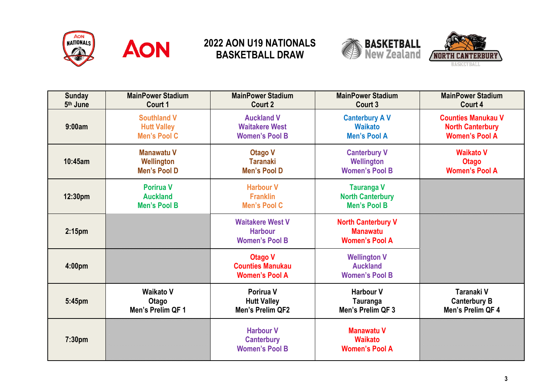







| <b>Sunday</b>      | <b>MainPower Stadium</b>                                   | <b>MainPower Stadium</b>                                           | <b>MainPower Stadium</b>                                              | <b>MainPower Stadium</b>  |
|--------------------|------------------------------------------------------------|--------------------------------------------------------------------|-----------------------------------------------------------------------|---------------------------|
| 5th June           | Court 1                                                    | Court 2                                                            | Court 3                                                               | Court 4                   |
| 9:00am             | <b>Southland V</b>                                         | <b>Auckland V</b>                                                  | <b>Canterbury AV</b>                                                  | <b>Counties Manukau V</b> |
|                    | <b>Hutt Valley</b>                                         | <b>Waitakere West</b>                                              | <b>Waikato</b>                                                        | <b>North Canterbury</b>   |
|                    | <b>Men's Pool C</b>                                        | <b>Women's Pool B</b>                                              | <b>Men's Pool A</b>                                                   | <b>Women's Pool A</b>     |
| 10:45am            | <b>Manawatu V</b>                                          | <b>Otago V</b>                                                     | <b>Canterbury V</b>                                                   | <b>Waikato V</b>          |
|                    | Wellington                                                 | <b>Taranaki</b>                                                    | Wellington                                                            | <b>Otago</b>              |
|                    | <b>Men's Pool D</b>                                        | <b>Men's Pool D</b>                                                | <b>Women's Pool B</b>                                                 | <b>Women's Pool A</b>     |
| 12:30pm            | <b>Porirua V</b><br><b>Auckland</b><br><b>Men's Pool B</b> | <b>Harbour V</b><br><b>Franklin</b><br><b>Men's Pool C</b>         | <b>Tauranga V</b><br><b>North Canterbury</b><br><b>Men's Pool B</b>   |                           |
| 2:15 <sub>pm</sub> |                                                            | <b>Waitakere West V</b><br><b>Harbour</b><br><b>Women's Pool B</b> | <b>North Canterbury V</b><br><b>Manawatu</b><br><b>Women's Pool A</b> |                           |
| 4:00 <sub>pm</sub> |                                                            | <b>Otago V</b><br><b>Counties Manukau</b><br><b>Women's Pool A</b> | <b>Wellington V</b><br><b>Auckland</b><br><b>Women's Pool B</b>       |                           |
| 5:45pm             | <b>Waikato V</b>                                           | Porirua V                                                          | <b>Harbour V</b>                                                      | Taranaki V                |
|                    | Otago                                                      | <b>Hutt Valley</b>                                                 | Tauranga                                                              | <b>Canterbury B</b>       |
|                    | Men's Prelim QF 1                                          | <b>Men's Prelim QF2</b>                                            | Men's Prelim QF 3                                                     | Men's Prelim QF 4         |
| 7:30pm             |                                                            | <b>Harbour V</b><br><b>Canterbury</b><br><b>Women's Pool B</b>     | <b>Manawatu V</b><br><b>Waikato</b><br><b>Women's Pool A</b>          |                           |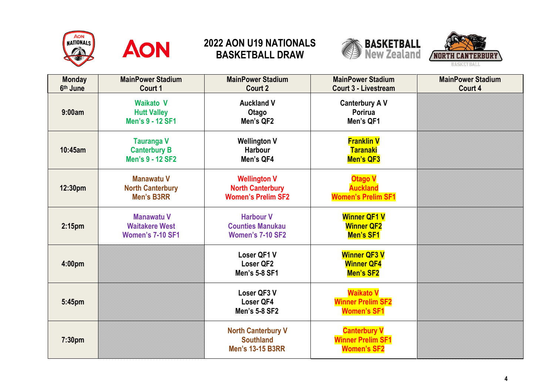







| <b>Monday</b><br>6th June | <b>MainPower Stadium</b><br>Court 1                                   | <b>MainPower Stadium</b><br>Court 2                                         | <b>MainPower Stadium</b><br>Court 3 - Livestream                      | <b>MainPower Stadium</b><br>Court 4 |
|---------------------------|-----------------------------------------------------------------------|-----------------------------------------------------------------------------|-----------------------------------------------------------------------|-------------------------------------|
| 9:00am                    | <b>Waikato V</b><br><b>Hutt Valley</b><br>Men's 9 - 12 SF1            | <b>Auckland V</b><br>Otago<br>Men's QF2                                     | <b>Canterbury AV</b><br>Porirua<br>Men's QF1                          |                                     |
| 10:45am                   | <b>Tauranga V</b><br><b>Canterbury B</b><br>Men's 9 - 12 SF2          | <b>Wellington V</b><br><b>Harbour</b><br>Men's QF4                          | <b>Franklin V</b><br><b>Taranaki</b><br>Men's QF3                     |                                     |
| 12:30pm                   | <b>Manawatu V</b><br><b>North Canterbury</b><br><b>Men's B3RR</b>     | <b>Wellington V</b><br><b>North Canterbury</b><br><b>Women's Prelim SF2</b> | <b>Otago V</b><br><b>Auckland</b><br><b>Women's Prelim SF1</b>        |                                     |
| 2:15pm                    | <b>Manawatu V</b><br><b>Waitakere West</b><br><b>Women's 7-10 SF1</b> | <b>Harbour V</b><br><b>Counties Manukau</b><br><b>Women's 7-10 SF2</b>      | <b>Winner QF1 V</b><br><b>Winner QF2</b><br>Men's SF1                 |                                     |
| 4:00pm                    |                                                                       | Loser QF1 V<br>Loser QF2<br>Men's 5-8 SF1                                   | <b>Winner QF3 V</b><br><b>Winner QF4</b><br>Men's SF2                 |                                     |
| 5:45pm                    |                                                                       | Loser QF3 V<br>Loser QF4<br>Men's 5-8 SF2                                   | <b>Waikato V</b><br><b>Winner Prelim SF2</b><br><b>Women's SF1</b>    |                                     |
| 7:30pm                    |                                                                       | <b>North Canterbury V</b><br><b>Southland</b><br><b>Men's 13-15 B3RR</b>    | <b>Canterbury V</b><br><b>Winner Prelim SF1</b><br><b>Women's SF2</b> |                                     |